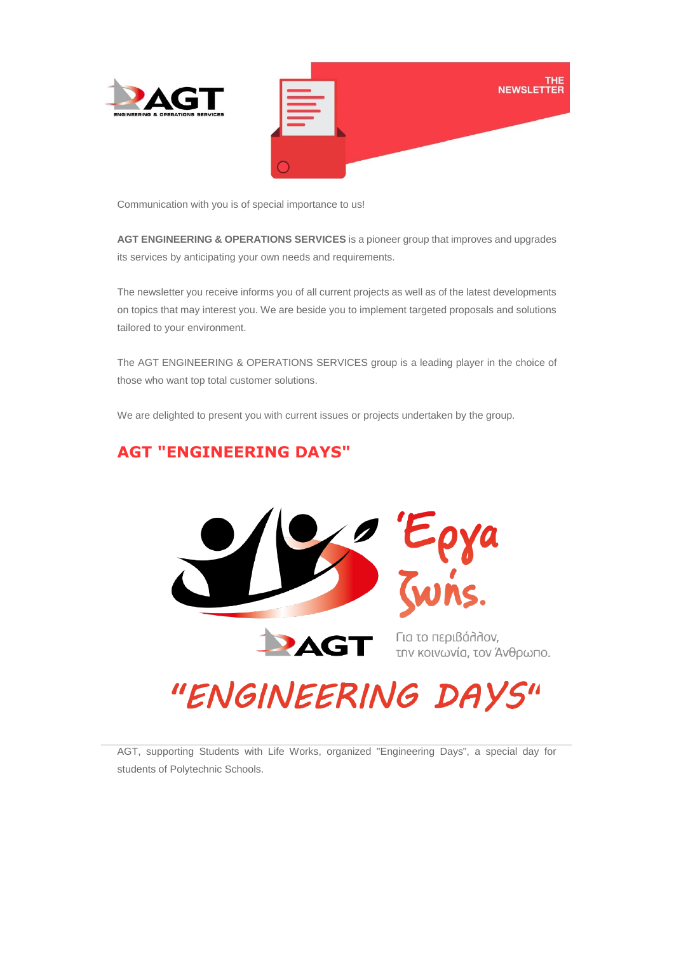

Communication with you is of special importance to us!

**AGT ENGINEERING & OPERATIONS SERVICES** is a pioneer group that improves and upgrades its services by anticipating your own needs and requirements.

The newsletter you receive informs you of all current projects as well as of the latest developments on topics that may interest you. We are beside you to implement targeted proposals and solutions tailored to your environment.

The AGT ENGINEERING & OPERATIONS SERVICES group is a leading player in the choice of those who want top total customer solutions.

We are delighted to present you with current issues or projects undertaken by the group.

## **AGT "ENGINEERING DAYS"**



την κοινωνία, τον Άνθρωπο.

## "ENGINEERING DAYS"

AGT, supporting Students with Life Works, organized "Engineering Days", a special day for students of Polytechnic Schools.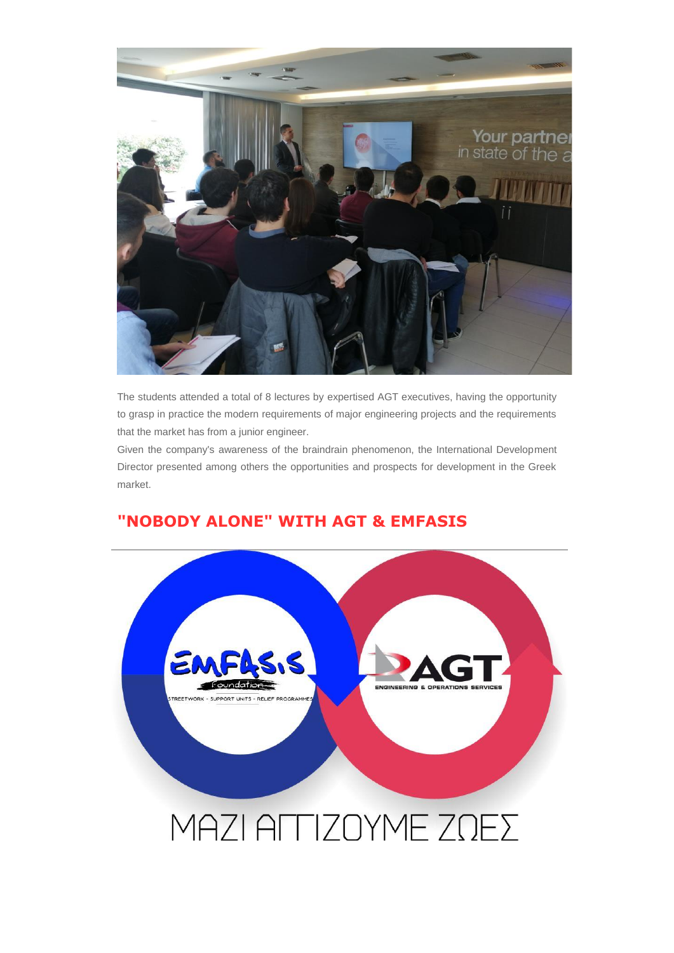

The students attended a total of 8 lectures by expertised AGT executives, having the opportunity to grasp in practice the modern requirements of major engineering projects and the requirements that the market has from a junior engineer.

Given the company's awareness of the braindrain phenomenon, the International Development Director presented among others the opportunities and prospects for development in the Greek market.



## **"NOBODY ALONE" WITH AGT & EMFASIS**